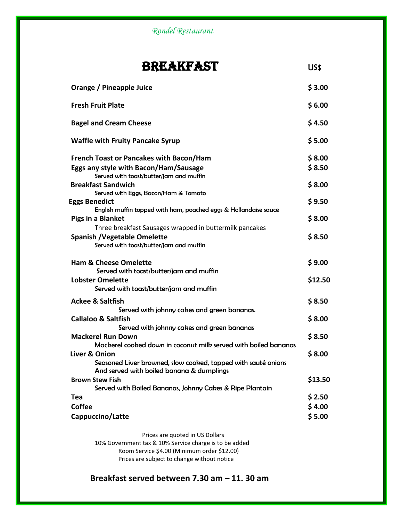*Rondel Restaurant*

## BREAKFAST US\$

| Orange / Pineapple Juice                                                                                                                                                                       | \$3.00                     |
|------------------------------------------------------------------------------------------------------------------------------------------------------------------------------------------------|----------------------------|
| <b>Fresh Fruit Plate</b>                                                                                                                                                                       | \$6.00                     |
| <b>Bagel and Cream Cheese</b>                                                                                                                                                                  | \$4.50                     |
| <b>Waffle with Fruity Pancake Syrup</b>                                                                                                                                                        | \$5.00                     |
| <b>French Toast or Pancakes with Bacon/Ham</b><br>Eggs any style with Bacon/Ham/Sausage<br>Served with toast/butter/jam and muffin<br><b>Breakfast Sandwich</b>                                | \$8.00<br>\$8.50<br>\$8.00 |
| Served with Eggs, Bacon/Ham & Tomato<br><b>Eggs Benedict</b><br>English muffin topped with ham, poached eggs & Hollandaise sauce<br><b>Pigs in a Blanket</b>                                   | \$9.50<br>\$8.00           |
| Three breakfast Sausages wrapped in buttermilk pancakes<br><b>Spanish / Vegetable Omelette</b><br>Served with toast/butter/jam and muffin                                                      | \$8.50                     |
| <b>Ham &amp; Cheese Omelette</b><br>Served with toast/butter/jam and muffin<br><b>Lobster Omelette</b><br>Served with toast/butter/jam and muffin                                              | \$9.00<br>\$12.50          |
| <b>Ackee &amp; Saltfish</b><br>Served with johnny cakes and green bananas.                                                                                                                     | \$8.50                     |
| <b>Callaloo &amp; Saltfish</b><br>Served with johnny cakes and green bananas<br><b>Mackerel Run Down</b>                                                                                       | \$8.00<br>\$8.50           |
| Mackerel cooked down in coconut milk served with boiled bananas<br>Liver & Onion<br>Seasoned Liver browned, slow cooked, topped with sauté onions<br>And served with boiled banana & dumplings | \$8.00                     |
| <b>Brown Stew Fish</b><br>Served with Boiled Bananas, Johnny Cakes & Ripe Plantain                                                                                                             | \$13.50                    |
| Tea<br><b>Coffee</b><br>Cappuccino/Latte                                                                                                                                                       | \$2.50<br>\$4.00<br>\$5.00 |

Prices are quoted in US Dollars 10% Government tax & 10% Service charge is to be added Room Service \$4.00 (Minimum order \$12.00) Prices are subject to change without notice

**Breakfast served between 7.30 am – 11. 30 am**